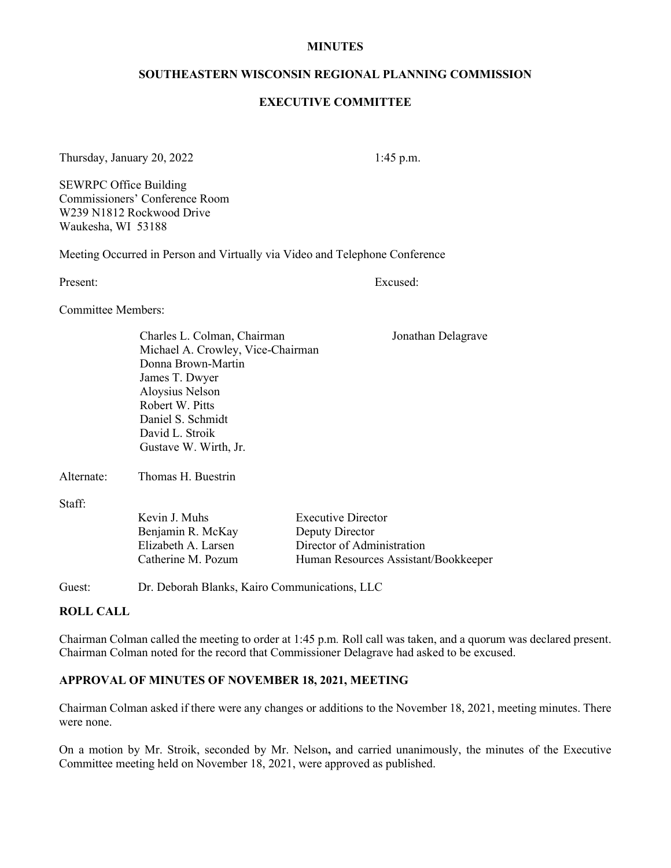#### **MINUTES**

#### **SOUTHEASTERN WISCONSIN REGIONAL PLANNING COMMISSION**

#### **EXECUTIVE COMMITTEE**

#### Thursday, January 20, 2022 1:45 p.m.

SEWRPC Office Building Commissioners' Conference Room W239 N1812 Rockwood Drive Waukesha, WI 53188

Meeting Occurred in Person and Virtually via Video and Telephone Conference

Present: Excused:

Jonathan Delagrave

Committee Members:

| Charles L. Colman, Chairman       |
|-----------------------------------|
| Michael A. Crowley, Vice-Chairman |
| Donna Brown-Martin                |
| James T. Dwyer                    |
| Aloysius Nelson                   |
| Robert W. Pitts                   |
| Daniel S. Schmidt                 |
| David L. Stroik                   |
| Gustave W. Wirth, Jr.             |
|                                   |

Alternate: Thomas H. Buestrin

Staff:

| Kevin J. Muhs       |
|---------------------|
| Benjamin R. McKay   |
| Elizabeth A. Larsen |
| Catherine M. Pozum  |

**Executive Director** Deputy Director Director of Administration Human Resources Assistant/Bookkeeper

Guest: Dr. Deborah Blanks, Kairo Communications, LLC

#### **ROLL CALL**

Chairman Colman called the meeting to order at 1:45 p.m*.* Roll call was taken, and a quorum was declared present. Chairman Colman noted for the record that Commissioner Delagrave had asked to be excused.

# **APPROVAL OF MINUTES OF NOVEMBER 18, 2021, MEETING**

Chairman Colman asked if there were any changes or additions to the November 18, 2021, meeting minutes. There were none.

On a motion by Mr. Stroik, seconded by Mr. Nelson**,** and carried unanimously, the minutes of the Executive Committee meeting held on November 18, 2021, were approved as published.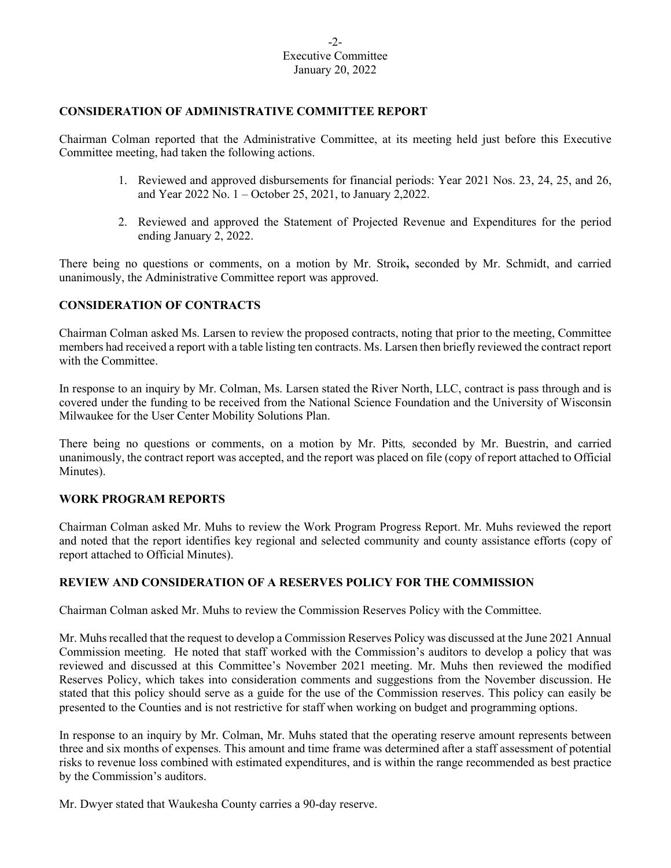# **CONSIDERATION OF ADMINISTRATIVE COMMITTEE REPORT**

Chairman Colman reported that the Administrative Committee, at its meeting held just before this Executive Committee meeting, had taken the following actions.

- 1. Reviewed and approved disbursements for financial periods: Year 2021 Nos. 23, 24, 25, and 26, and Year 2022 No. 1 – October 25, 2021, to January 2,2022.
- 2. Reviewed and approved the Statement of Projected Revenue and Expenditures for the period ending January 2, 2022.

There being no questions or comments, on a motion by Mr. Stroik**,** seconded by Mr. Schmidt, and carried unanimously, the Administrative Committee report was approved.

# **CONSIDERATION OF CONTRACTS**

Chairman Colman asked Ms. Larsen to review the proposed contracts, noting that prior to the meeting, Committee members had received a report with a table listing ten contracts. Ms. Larsen then briefly reviewed the contract report with the Committee.

In response to an inquiry by Mr. Colman, Ms. Larsen stated the River North, LLC, contract is pass through and is covered under the funding to be received from the National Science Foundation and the University of Wisconsin Milwaukee for the User Center Mobility Solutions Plan.

There being no questions or comments, on a motion by Mr. Pitts*,* seconded by Mr. Buestrin, and carried unanimously, the contract report was accepted, and the report was placed on file (copy of report attached to Official Minutes).

### **WORK PROGRAM REPORTS**

Chairman Colman asked Mr. Muhs to review the Work Program Progress Report. Mr. Muhs reviewed the report and noted that the report identifies key regional and selected community and county assistance efforts (copy of report attached to Official Minutes).

### **REVIEW AND CONSIDERATION OF A RESERVES POLICY FOR THE COMMISSION**

Chairman Colman asked Mr. Muhs to review the Commission Reserves Policy with the Committee.

Mr. Muhs recalled that the request to develop a Commission Reserves Policy was discussed at the June 2021 Annual Commission meeting. He noted that staff worked with the Commission's auditors to develop a policy that was reviewed and discussed at this Committee's November 2021 meeting. Mr. Muhs then reviewed the modified Reserves Policy, which takes into consideration comments and suggestions from the November discussion. He stated that this policy should serve as a guide for the use of the Commission reserves. This policy can easily be presented to the Counties and is not restrictive for staff when working on budget and programming options.

In response to an inquiry by Mr. Colman, Mr. Muhs stated that the operating reserve amount represents between three and six months of expenses. This amount and time frame was determined after a staff assessment of potential risks to revenue loss combined with estimated expenditures, and is within the range recommended as best practice by the Commission's auditors.

Mr. Dwyer stated that Waukesha County carries a 90-day reserve.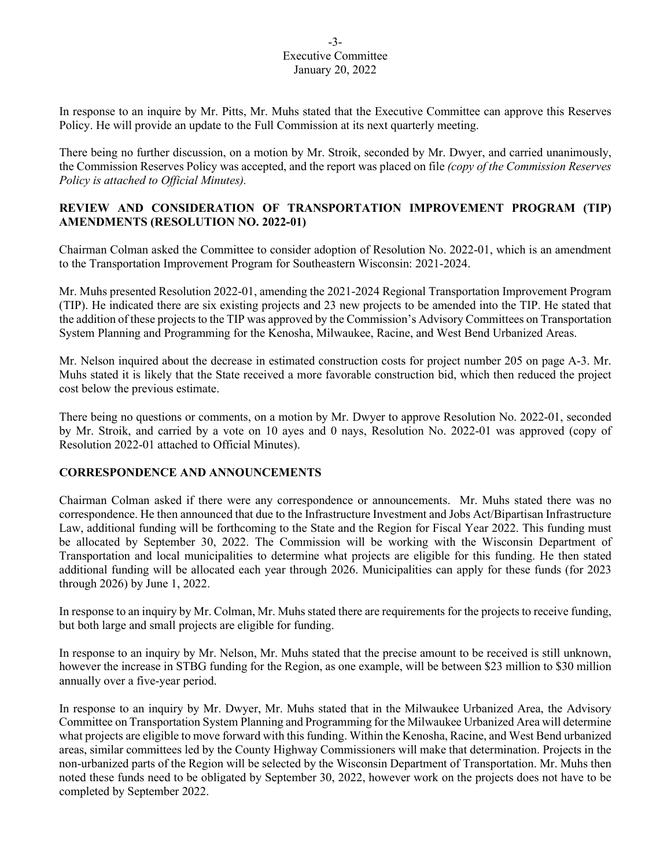#### -3- Executive Committee January 20, 2022

In response to an inquire by Mr. Pitts, Mr. Muhs stated that the Executive Committee can approve this Reserves Policy. He will provide an update to the Full Commission at its next quarterly meeting.

There being no further discussion, on a motion by Mr. Stroik, seconded by Mr. Dwyer, and carried unanimously, the Commission Reserves Policy was accepted, and the report was placed on file *(copy of the Commission Reserves Policy is attached to Official Minutes).*

# **REVIEW AND CONSIDERATION OF TRANSPORTATION IMPROVEMENT PROGRAM (TIP) AMENDMENTS (RESOLUTION NO. 2022-01)**

Chairman Colman asked the Committee to consider adoption of Resolution No. 2022-01, which is an amendment to the Transportation Improvement Program for Southeastern Wisconsin: 2021-2024.

Mr. Muhs presented Resolution 2022-01, amending the 2021-2024 Regional Transportation Improvement Program (TIP). He indicated there are six existing projects and 23 new projects to be amended into the TIP. He stated that the addition of these projects to the TIP was approved by the Commission's Advisory Committees on Transportation System Planning and Programming for the Kenosha, Milwaukee, Racine, and West Bend Urbanized Areas.

Mr. Nelson inquired about the decrease in estimated construction costs for project number 205 on page A-3. Mr. Muhs stated it is likely that the State received a more favorable construction bid, which then reduced the project cost below the previous estimate.

There being no questions or comments, on a motion by Mr. Dwyer to approve Resolution No. 2022-01, seconded by Mr. Stroik, and carried by a vote on 10 ayes and 0 nays, Resolution No. 2022-01 was approved (copy of Resolution 2022-01 attached to Official Minutes).

### **CORRESPONDENCE AND ANNOUNCEMENTS**

Chairman Colman asked if there were any correspondence or announcements. Mr. Muhs stated there was no correspondence. He then announced that due to the Infrastructure Investment and Jobs Act/Bipartisan Infrastructure Law, additional funding will be forthcoming to the State and the Region for Fiscal Year 2022. This funding must be allocated by September 30, 2022. The Commission will be working with the Wisconsin Department of Transportation and local municipalities to determine what projects are eligible for this funding. He then stated additional funding will be allocated each year through 2026. Municipalities can apply for these funds (for 2023 through 2026) by June 1, 2022.

In response to an inquiry by Mr. Colman, Mr. Muhs stated there are requirements for the projects to receive funding, but both large and small projects are eligible for funding.

In response to an inquiry by Mr. Nelson, Mr. Muhs stated that the precise amount to be received is still unknown, however the increase in STBG funding for the Region, as one example, will be between \$23 million to \$30 million annually over a five-year period.

In response to an inquiry by Mr. Dwyer, Mr. Muhs stated that in the Milwaukee Urbanized Area, the Advisory Committee on Transportation System Planning and Programming for the Milwaukee Urbanized Area will determine what projects are eligible to move forward with this funding. Within the Kenosha, Racine, and West Bend urbanized areas, similar committees led by the County Highway Commissioners will make that determination. Projects in the non-urbanized parts of the Region will be selected by the Wisconsin Department of Transportation. Mr. Muhs then noted these funds need to be obligated by September 30, 2022, however work on the projects does not have to be completed by September 2022.